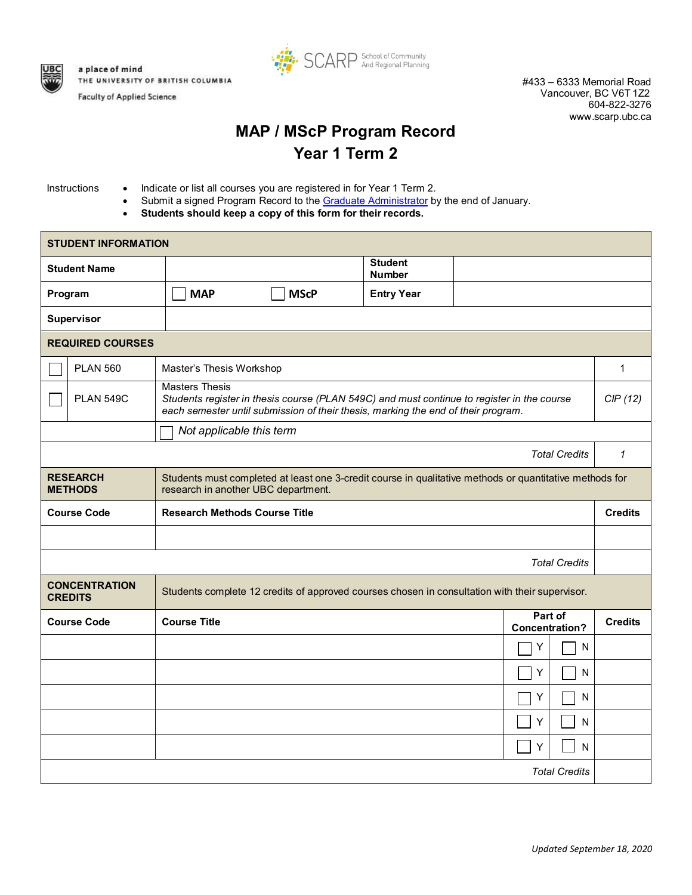

**Faculty of Applied Science** 



#433 – 6333 Memorial Road Vancouver, BC V6T 1Z2 604-822-3276 [www.scarp.ubc.ca](http://www.scarp.ubc.ca/)

## **MAP / MScP Program Record Year 1 Term 2**

- Instructions Indicate or list all courses you are registered in for Year 1 Term 2.
	- Submit a signed Program Record to the [Graduate Administrator](mailto:grad.scarp@ubc.ca) by the end of January.
	- **Students should keep a copy of this form for their records.**

| <b>STUDENT INFORMATION</b>             |                                                                                                                                                                                                          |                          |                                 |                |                      |              |  |
|----------------------------------------|----------------------------------------------------------------------------------------------------------------------------------------------------------------------------------------------------------|--------------------------|---------------------------------|----------------|----------------------|--------------|--|
| <b>Student Name</b>                    |                                                                                                                                                                                                          |                          | <b>Student</b><br><b>Number</b> |                |                      |              |  |
| Program                                | <b>MAP</b>                                                                                                                                                                                               | <b>MScP</b>              | <b>Entry Year</b>               |                |                      |              |  |
| Supervisor                             |                                                                                                                                                                                                          |                          |                                 |                |                      |              |  |
| <b>REQUIRED COURSES</b>                |                                                                                                                                                                                                          |                          |                                 |                |                      |              |  |
| <b>PLAN 560</b>                        |                                                                                                                                                                                                          | Master's Thesis Workshop |                                 |                |                      | 1            |  |
| <b>PLAN 549C</b>                       | <b>Masters Thesis</b><br>Students register in thesis course (PLAN 549C) and must continue to register in the course<br>each semester until submission of their thesis, marking the end of their program. |                          |                                 |                |                      | CIP(12)      |  |
|                                        | Not applicable this term                                                                                                                                                                                 |                          |                                 |                |                      |              |  |
|                                        |                                                                                                                                                                                                          |                          |                                 |                | <b>Total Credits</b> | $\mathbf{1}$ |  |
| <b>RESEARCH</b><br><b>METHODS</b>      | Students must completed at least one 3-credit course in qualitative methods or quantitative methods for<br>research in another UBC department.                                                           |                          |                                 |                |                      |              |  |
| <b>Course Code</b>                     | <b>Research Methods Course Title</b>                                                                                                                                                                     |                          |                                 |                | <b>Credits</b>       |              |  |
|                                        |                                                                                                                                                                                                          |                          |                                 |                |                      |              |  |
| <b>Total Credits</b>                   |                                                                                                                                                                                                          |                          |                                 |                |                      |              |  |
| <b>CONCENTRATION</b><br><b>CREDITS</b> | Students complete 12 credits of approved courses chosen in consultation with their supervisor.                                                                                                           |                          |                                 |                |                      |              |  |
| <b>Course Code</b>                     | Part of<br><b>Course Title</b><br><b>Concentration?</b>                                                                                                                                                  |                          |                                 | <b>Credits</b> |                      |              |  |
|                                        |                                                                                                                                                                                                          |                          |                                 |                | N<br>Y               |              |  |
|                                        |                                                                                                                                                                                                          |                          |                                 | Υ              | ${\sf N}$            |              |  |
|                                        |                                                                                                                                                                                                          |                          |                                 |                | Y<br>N               |              |  |
|                                        |                                                                                                                                                                                                          |                          |                                 | Υ              | ${\sf N}$            |              |  |
|                                        |                                                                                                                                                                                                          |                          |                                 | Y              | N                    |              |  |
| <b>Total Credits</b>                   |                                                                                                                                                                                                          |                          |                                 |                |                      |              |  |